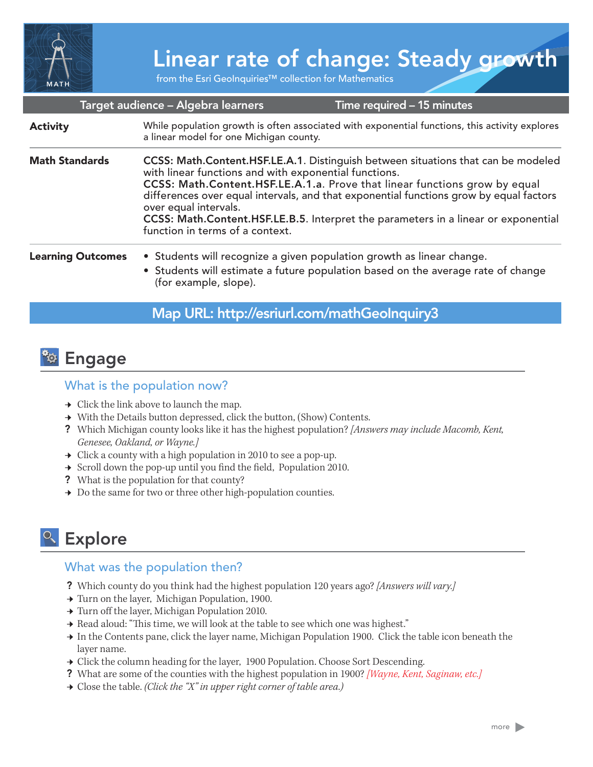

# Linear rate of change: Steady growth

from the Esri GeoInquiries™ collection for Mathematics

|                          | Target audience – Algebra learners                                                                                                                                                                                                                                                                                                                                                                                                                                   | Time required - 15 minutes |
|--------------------------|----------------------------------------------------------------------------------------------------------------------------------------------------------------------------------------------------------------------------------------------------------------------------------------------------------------------------------------------------------------------------------------------------------------------------------------------------------------------|----------------------------|
| <b>Activity</b>          | While population growth is often associated with exponential functions, this activity explores<br>a linear model for one Michigan county.                                                                                                                                                                                                                                                                                                                            |                            |
| <b>Math Standards</b>    | CCSS: Math.Content.HSF.LE.A.1. Distinguish between situations that can be modeled<br>with linear functions and with exponential functions.<br>CCSS: Math.Content.HSF.LE.A.1.a. Prove that linear functions grow by equal<br>differences over equal intervals, and that exponential functions grow by equal factors<br>over equal intervals.<br>CCSS: Math.Content.HSF.LE.B.5. Interpret the parameters in a linear or exponential<br>function in terms of a context. |                            |
| <b>Learning Outcomes</b> | • Students will recognize a given population growth as linear change.<br>• Students will estimate a future population based on the average rate of change<br>(for example, slope).                                                                                                                                                                                                                                                                                   |                            |

### Map URL: http://esriurl.com/mathGeoInquiry3



#### What is the population now?

- $\rightarrow$  Click the link above to launch the map.
- **→** With the Details button depressed, click the button, (Show) Contents.
- ? Which Michigan county looks like it has the highest population? *[Answers may include Macomb, Kent, Genesee, Oakland, or Wayne.]*
- $\rightarrow$  Click a county with a high population in 2010 to see a pop-up.
- $\rightarrow$  Scroll down the pop-up until you find the field, Population 2010.
- ? What is the population for that county?
- $\rightarrow\,$  Do the same for two or three other high-population counties.

## <sup>Q</sup> Explore

#### What was the population then?

- ? Which county do you think had the highest population 120 years ago? *[Answers will vary.]*
- → Turn on the layer, Michigan Population, 1900.
- **→ Turn off the layer, Michigan Population 2010.**
- → Read aloud: "This time, we will look at the table to see which one was highest."
- ʅ In the Contents pane, click the layer name, Michigan Population 1900. Click the table icon beneath the layer name.
- → Click the column heading for the layer, 1900 Population. Choose Sort Descending.
- ? What are some of the counties with the highest population in 1900? *[Wayne, Kent, Saginaw, etc.]*
- ʅ Close the table. *(Click the "X" in upper right corner of table area.)*